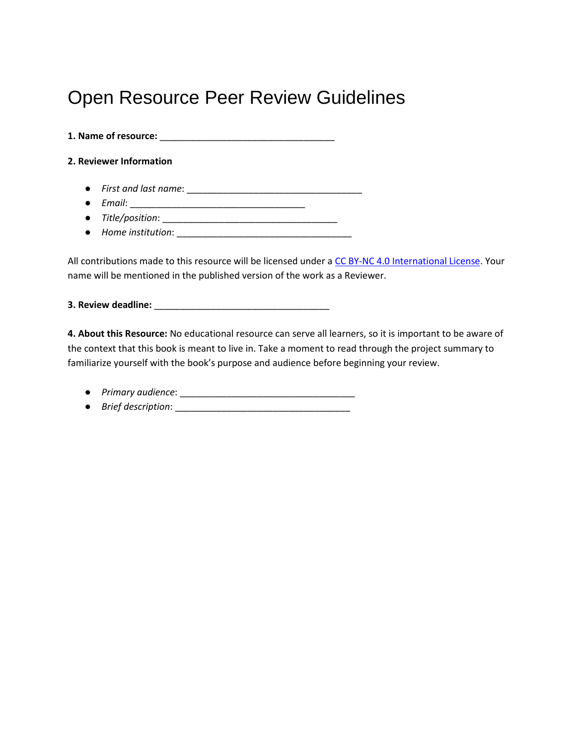## Open Resource Peer Review Guidelines

**1. Name of resource:** \_\_\_\_\_\_\_\_\_\_\_\_\_\_\_\_\_\_\_\_\_\_\_\_\_\_\_\_\_\_\_\_\_\_

#### **2. Reviewer Information**

- *First and last name*: \_\_\_\_\_\_\_\_\_\_\_\_\_\_\_\_\_\_\_\_\_\_\_\_\_\_\_\_\_\_\_\_\_\_
- *Email*: \_\_\_\_\_\_\_\_\_\_\_\_\_\_\_\_\_\_\_\_\_\_\_\_\_\_\_\_\_\_\_\_\_\_
- *Title/position*: \_\_\_\_\_\_\_\_\_\_\_\_\_\_\_\_\_\_\_\_\_\_\_\_\_\_\_\_\_\_\_\_\_\_
- *Home institution*: \_\_\_\_\_\_\_\_\_\_\_\_\_\_\_\_\_\_\_\_\_\_\_\_\_\_\_\_\_\_\_\_\_\_

All contributions made to this resource will be licensed under a [CC BY-NC 4.0 International License.](https://creativecommons.org/licenses/by-nc/4.0/) Your name will be mentioned in the published version of the work as a Reviewer.

**3. Review deadline:** \_\_\_\_\_\_\_\_\_\_\_\_\_\_\_\_\_\_\_\_\_\_\_\_\_\_\_\_\_\_\_\_\_\_

**4. About this Resource:** No educational resource can serve all learners, so it is important to be aware of the context that this book is meant to live in. Take a moment to read through the project summary to familiarize yourself with the book's purpose and audience before beginning your review.

- *Primary audience*: \_\_\_\_\_\_\_\_\_\_\_\_\_\_\_\_\_\_\_\_\_\_\_\_\_\_\_\_\_\_\_\_\_\_
- *Brief description*: \_\_\_\_\_\_\_\_\_\_\_\_\_\_\_\_\_\_\_\_\_\_\_\_\_\_\_\_\_\_\_\_\_\_